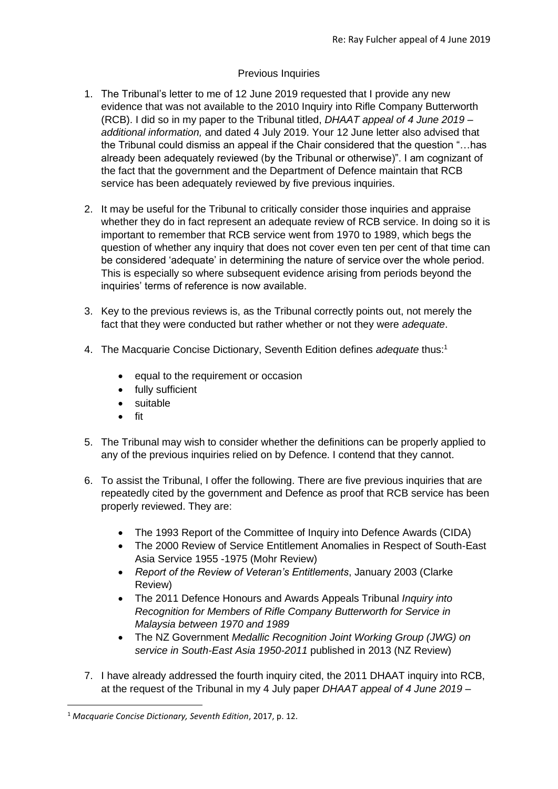# Previous Inquiries

- 1. The Tribunal's letter to me of 12 June 2019 requested that I provide any new evidence that was not available to the 2010 Inquiry into Rifle Company Butterworth (RCB). I did so in my paper to the Tribunal titled, *DHAAT appeal of 4 June 2019 – additional information,* and dated 4 July 2019. Your 12 June letter also advised that the Tribunal could dismiss an appeal if the Chair considered that the question "…has already been adequately reviewed (by the Tribunal or otherwise)". I am cognizant of the fact that the government and the Department of Defence maintain that RCB service has been adequately reviewed by five previous inquiries.
- 2. It may be useful for the Tribunal to critically consider those inquiries and appraise whether they do in fact represent an adequate review of RCB service. In doing so it is important to remember that RCB service went from 1970 to 1989, which begs the question of whether any inquiry that does not cover even ten per cent of that time can be considered 'adequate' in determining the nature of service over the whole period. This is especially so where subsequent evidence arising from periods beyond the inquiries' terms of reference is now available.
- 3. Key to the previous reviews is, as the Tribunal correctly points out, not merely the fact that they were conducted but rather whether or not they were *adequate*.
- 4. The Macquarie Concise Dictionary, Seventh Edition defines *adequate* thus:<sup>1</sup>
	- equal to the requirement or occasion
	- fully sufficient
	- suitable
	- fit
- 5. The Tribunal may wish to consider whether the definitions can be properly applied to any of the previous inquiries relied on by Defence. I contend that they cannot.
- 6. To assist the Tribunal, I offer the following. There are five previous inquiries that are repeatedly cited by the government and Defence as proof that RCB service has been properly reviewed. They are:
	- The 1993 Report of the Committee of Inquiry into Defence Awards (CIDA)
	- The 2000 Review of Service Entitlement Anomalies in Respect of South-East Asia Service 1955 -1975 (Mohr Review)
	- *Report of the Review of Veteran's Entitlements*, January 2003 (Clarke Review)
	- The 2011 Defence Honours and Awards Appeals Tribunal *Inquiry into Recognition for Members of Rifle Company Butterworth for Service in Malaysia between 1970 and 1989*
	- The NZ Government *Medallic Recognition Joint Working Group (JWG) on service in South-East Asia 1950-2011* published in 2013 (NZ Review)
- 7. I have already addressed the fourth inquiry cited, the 2011 DHAAT inquiry into RCB, at the request of the Tribunal in my 4 July paper *DHAAT appeal of 4 June 2019 –*

<sup>1</sup> *Macquarie Concise Dictionary, Seventh Edition*, 2017, p. 12.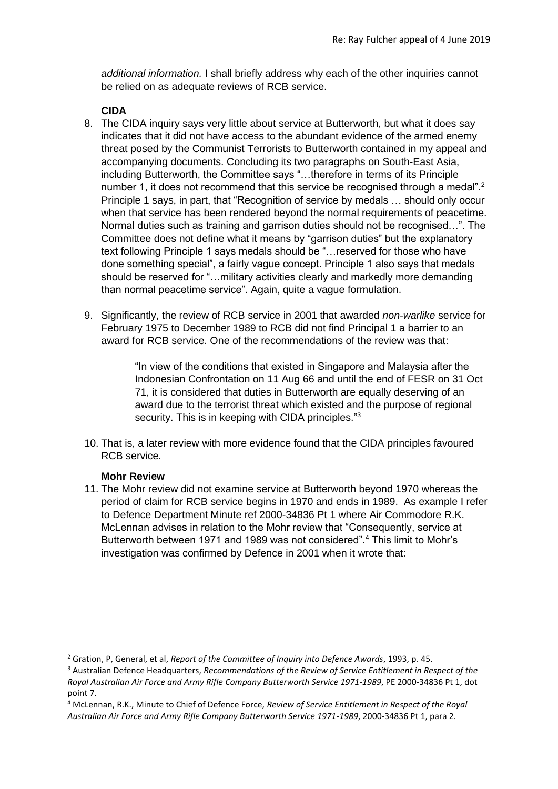*additional information.* I shall briefly address why each of the other inquiries cannot be relied on as adequate reviews of RCB service.

# **CIDA**

- 8. The CIDA inquiry says very little about service at Butterworth, but what it does say indicates that it did not have access to the abundant evidence of the armed enemy threat posed by the Communist Terrorists to Butterworth contained in my appeal and accompanying documents. Concluding its two paragraphs on South-East Asia, including Butterworth, the Committee says "…therefore in terms of its Principle number 1, it does not recommend that this service be recognised through a medal".<sup>2</sup> Principle 1 says, in part, that "Recognition of service by medals … should only occur when that service has been rendered beyond the normal requirements of peacetime. Normal duties such as training and garrison duties should not be recognised…". The Committee does not define what it means by "garrison duties" but the explanatory text following Principle 1 says medals should be "…reserved for those who have done something special", a fairly vague concept. Principle 1 also says that medals should be reserved for "…military activities clearly and markedly more demanding than normal peacetime service". Again, quite a vague formulation.
- 9. Significantly, the review of RCB service in 2001 that awarded *non-warlike* service for February 1975 to December 1989 to RCB did not find Principal 1 a barrier to an award for RCB service. One of the recommendations of the review was that:

"In view of the conditions that existed in Singapore and Malaysia after the Indonesian Confrontation on 11 Aug 66 and until the end of FESR on 31 Oct 71, it is considered that duties in Butterworth are equally deserving of an award due to the terrorist threat which existed and the purpose of regional security. This is in keeping with CIDA principles."3

10. That is, a later review with more evidence found that the CIDA principles favoured RCB service.

# **Mohr Review**

11. The Mohr review did not examine service at Butterworth beyond 1970 whereas the period of claim for RCB service begins in 1970 and ends in 1989. As example I refer to Defence Department Minute ref 2000-34836 Pt 1 where Air Commodore R.K. McLennan advises in relation to the Mohr review that "Consequently, service at Butterworth between 1971 and 1989 was not considered".<sup>4</sup> This limit to Mohr's investigation was confirmed by Defence in 2001 when it wrote that:

<sup>2</sup> Gration, P, General, et al, *Report of the Committee of Inquiry into Defence Awards*, 1993, p. 45.

<sup>3</sup> Australian Defence Headquarters, *Recommendations of the Review of Service Entitlement in Respect of the Royal Australian Air Force and Army Rifle Company Butterworth Service 1971-1989*, PE 2000-34836 Pt 1, dot point 7.

<sup>4</sup> McLennan, R.K., Minute to Chief of Defence Force, *Review of Service Entitlement in Respect of the Royal Australian Air Force and Army Rifle Company Butterworth Service 1971-1989*, 2000-34836 Pt 1, para 2.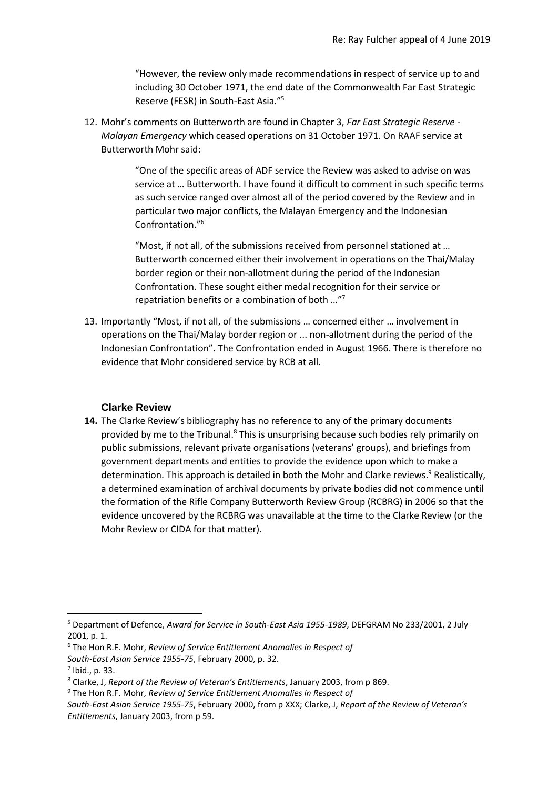"However, the review only made recommendations in respect of service up to and including 30 October 1971, the end date of the Commonwealth Far East Strategic Reserve (FESR) in South-East Asia."<sup>5</sup>

12. Mohr's comments on Butterworth are found in Chapter 3, *Far East Strategic Reserve - Malayan Emergency* which ceased operations on 31 October 1971. On RAAF service at Butterworth Mohr said:

> "One of the specific areas of ADF service the Review was asked to advise on was service at … Butterworth. I have found it difficult to comment in such specific terms as such service ranged over almost all of the period covered by the Review and in particular two major conflicts, the Malayan Emergency and the Indonesian Confrontation." 6

"Most, if not all, of the submissions received from personnel stationed at … Butterworth concerned either their involvement in operations on the Thai/Malay border region or their non-allotment during the period of the Indonesian Confrontation. These sought either medal recognition for their service or repatriation benefits or a combination of both …" 7

13. Importantly "Most, if not all, of the submissions … concerned either … involvement in operations on the Thai/Malay border region or ... non-allotment during the period of the Indonesian Confrontation". The Confrontation ended in August 1966. There is therefore no evidence that Mohr considered service by RCB at all.

#### **Clarke Review**

**14.** The Clarke Review's bibliography has no reference to any of the primary documents provided by me to the Tribunal.<sup>8</sup> This is unsurprising because such bodies rely primarily on public submissions, relevant private organisations (veterans' groups), and briefings from government departments and entities to provide the evidence upon which to make a determination. This approach is detailed in both the Mohr and Clarke reviews.<sup>9</sup> Realistically, a determined examination of archival documents by private bodies did not commence until the formation of the Rifle Company Butterworth Review Group (RCBRG) in 2006 so that the evidence uncovered by the RCBRG was unavailable at the time to the Clarke Review (or the Mohr Review or CIDA for that matter).

- <sup>6</sup> The Hon R.F. Mohr, *Review of Service Entitlement Anomalies in Respect of*
- *South-East Asian Service 1955-75*, February 2000, p. 32.

<sup>5</sup> Department of Defence, *Award for Service in South-East Asia 1955-1989*, DEFGRAM No 233/2001, 2 July 2001, p. 1.

<sup>7</sup> Ibid., p. 33.

<sup>8</sup> Clarke, J, *Report of the Review of Veteran's Entitlements*, January 2003, from p 869.

<sup>9</sup> The Hon R.F. Mohr, *Review of Service Entitlement Anomalies in Respect of*

*South-East Asian Service 1955-75*, February 2000, from p XXX; Clarke, J, *Report of the Review of Veteran's Entitlements*, January 2003, from p 59.